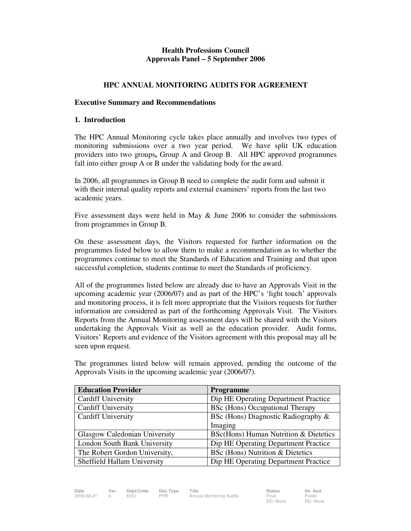# **Health Professions Council Approvals Panel – 5 September 2006**

## **HPC ANNUAL MONITORING AUDITS FOR AGREEMENT**

### **Executive Summary and Recommendations**

### **1. Introduction**

The HPC Annual Monitoring cycle takes place annually and involves two types of monitoring submissions over a two year period. We have split UK education providers into two groups**,** Group A and Group B. All HPC approved programmes fall into either group A or B under the validating body for the award.

In 2006, all programmes in Group B need to complete the audit form and submit it with their internal quality reports and external examiners' reports from the last two academic years.

Five assessment days were held in May & June 2006 to consider the submissions from programmes in Group B.

On these assessment days, the Visitors requested for further information on the programmes listed below to allow them to make a recommendation as to whether the programmes continue to meet the Standards of Education and Training and that upon successful completion, students continue to meet the Standards of proficiency.

All of the programmes listed below are already due to have an Approvals Visit in the upcoming academic year (2006/07) and as part of the HPC's 'light touch' approvals and monitoring process, it is felt more appropriate that the Visitors requests for further information are considered as part of the forthcoming Approvals Visit. The Visitors Reports from the Annual Monitoring assessment days will be shared with the Visitors undertaking the Approvals Visit as well as the education provider. Audit forms, Visitors' Reports and evidence of the Visitors agreement with this proposal may all be seen upon request.

| <b>Education Provider</b>     | Programme                             |
|-------------------------------|---------------------------------------|
| <b>Cardiff University</b>     | Dip HE Operating Department Practice  |
| <b>Cardiff University</b>     | BSc (Hons) Occupational Therapy       |
| <b>Cardiff University</b>     | BSc (Hons) Diagnostic Radiography &   |
|                               | Imaging                               |
| Glasgow Caledonian University | BSc(Hons) Human Nutrition & Dietetics |
| London South Bank University  | Dip HE Operating Department Practice  |
| The Robert Gordon University, | BSc (Hons) Nutrition & Dietetics      |
| Sheffield Hallam University   | Dip HE Operating Department Practice  |

The programmes listed below will remain approved, pending the outcome of the Approvals Visits in the upcoming academic year (2006/07).

| Date       | Ver. | Dept/Cmte | Doc Type   | Title                    | <b>Status</b> | Int. Aud. |
|------------|------|-----------|------------|--------------------------|---------------|-----------|
| 2006-08-21 |      | EDU       | <b>PPR</b> | Annual Monitoring Audits | Final         | Public    |
|            |      |           |            |                          | DD: None      | RD: Non   |